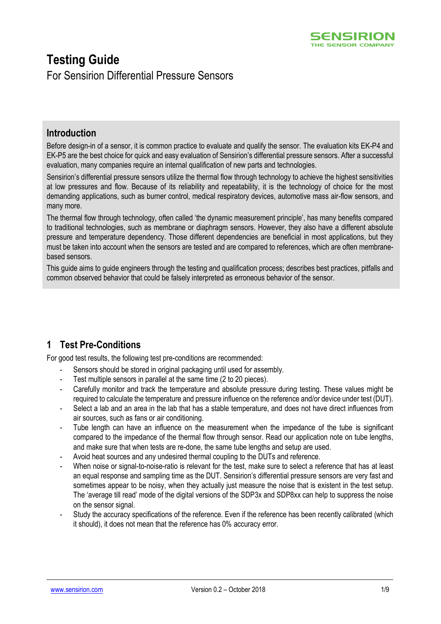# **Testing Guide**

For Sensirion Differential Pressure Sensors

## **Introduction**

Before design-in of a sensor, it is common practice to evaluate and qualify the sensor. The evaluation kits EK-P4 and EK-P5 are the best choice for quick and easy evaluation of Sensirion's differential pressure sensors. After a successful evaluation, many companies require an internal qualification of new parts and technologies.

Sensirion's differential pressure sensors utilize the thermal flow through technology to achieve the highest sensitivities at low pressures and flow. Because of its reliability and repeatability, it is the technology of choice for the most demanding applications, such as burner control, medical respiratory devices, automotive mass air-flow sensors, and many more.

The thermal flow through technology, often called 'the dynamic measurement principle', has many benefits compared to traditional technologies, such as membrane or diaphragm sensors. However, they also have a different absolute pressure and temperature dependency. Those different dependencies are beneficial in most applications, but they must be taken into account when the sensors are tested and are compared to references, which are often membranebased sensors.

This guide aims to guide engineers through the testing and qualification process; describes best practices, pitfalls and common observed behavior that could be falsely interpreted as erroneous behavior of the sensor.

## **1 Test Pre-Conditions**

For good test results, the following test pre-conditions are recommended:

- Sensors should be stored in original packaging until used for assembly.
- Test multiple sensors in parallel at the same time (2 to 20 pieces).
- Carefully monitor and track the temperature and absolute pressure during testing. These values might be required to calculate the temperature and pressure influence on the reference and/or device under test (DUT).
- Select a lab and an area in the lab that has a stable temperature, and does not have direct influences from air sources, such as fans or air conditioning.
- Tube length can have an influence on the measurement when the impedance of the tube is significant compared to the impedance of the thermal flow through sensor. Read our application note on tube lengths, and make sure that when tests are re-done, the same tube lengths and setup are used.
- Avoid heat sources and any undesired thermal coupling to the DUTs and reference.
- When noise or signal-to-noise-ratio is relevant for the test, make sure to select a reference that has at least an equal response and sampling time as the DUT. Sensirion's differential pressure sensors are very fast and sometimes appear to be noisy, when they actually just measure the noise that is existent in the test setup. The 'average till read' mode of the digital versions of the SDP3x and SDP8xx can help to suppress the noise on the sensor signal.
- Study the accuracy specifications of the reference. Even if the reference has been recently calibrated (which it should), it does not mean that the reference has 0% accuracy error.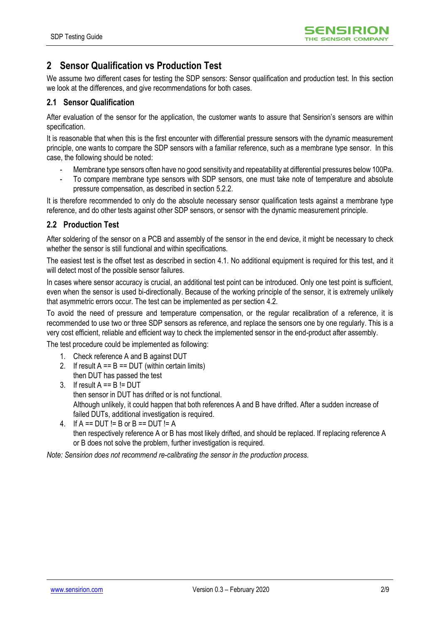## **2 Sensor Qualification vs Production Test**

We assume two different cases for testing the SDP sensors: Sensor qualification and production test. In this section we look at the differences, and give recommendations for both cases.

#### **2.1 Sensor Qualification**

After evaluation of the sensor for the application, the customer wants to assure that Sensirion's sensors are within specification.

It is reasonable that when this is the first encounter with differential pressure sensors with the dynamic measurement principle, one wants to compare the SDP sensors with a familiar reference, such as a membrane type sensor. In this case, the following should be noted:

- Membrane type sensors often have no good sensitivity and repeatability at differential pressures below 100Pa.
- To compare membrane type sensors with SDP sensors, one must take note of temperature and absolute pressure compensation, as described in section [5.2.2.](#page-7-0)

It is therefore recommended to only do the absolute necessary sensor qualification tests against a membrane type reference, and do other tests against other SDP sensors, or sensor with the dynamic measurement principle.

### **2.2 Production Test**

After soldering of the sensor on a PCB and assembly of the sensor in the end device, it might be necessary to check whether the sensor is still functional and within specifications.

The easiest test is the offset test as described in section [4.1.](#page-4-0) No additional equipment is required for this test, and it will detect most of the possible sensor failures.

In cases where sensor accuracy is crucial, an additional test point can be introduced. Only one test point is sufficient, even when the sensor is used bi-directionally. Because of the working principle of the sensor, it is extremely unlikely that asymmetric errors occur. The test can be implemented as per section [4.2.](#page-4-1)

To avoid the need of pressure and temperature compensation, or the regular recalibration of a reference, it is recommended to use two or three SDP sensors as reference, and replace the sensors one by one regularly. This is a very cost efficient, reliable and efficient way to check the implemented sensor in the end-product after assembly.

The test procedure could be implemented as following:

- 1. Check reference A and B against DUT
- 2. If result  $A == B == DUT$  (within certain limits) then DUT has passed the test
- 3. If result  $A == B != DUT$ then sensor in DUT has drifted or is not functional. Although unlikely, it could happen that both references A and B have drifted. After a sudden increase of failed DUTs, additional investigation is required.
- 4. If  $A == DUT != B$  or  $B == DUT != A$ then respectively reference A or B has most likely drifted, and should be replaced. If replacing reference A or B does not solve the problem, further investigation is required.

*Note: Sensirion does not recommend re-calibrating the sensor in the production process.*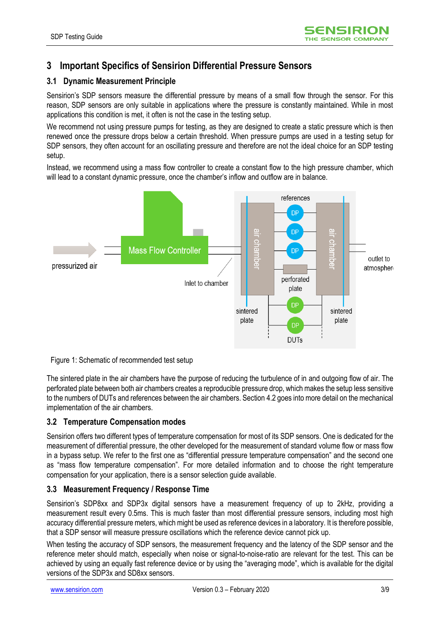## **3 Important Specifics of Sensirion Differential Pressure Sensors**

### <span id="page-2-0"></span>**3.1 Dynamic Measurement Principle**

Sensirion's SDP sensors measure the differential pressure by means of a small flow through the sensor. For this reason, SDP sensors are only suitable in applications where the pressure is constantly maintained. While in most applications this condition is met, it often is not the case in the testing setup.

We recommend not using pressure pumps for testing, as they are designed to create a static pressure which is then renewed once the pressure drops below a certain threshold. When pressure pumps are used in a testing setup for SDP sensors, they often account for an oscillating pressure and therefore are not the ideal choice for an SDP testing setup.

Instead, we recommend using a mass flow controller to create a constant flow to the high pressure chamber, which will lead to a constant dynamic pressure, once the chamber's inflow and outflow are in balance.



#### <span id="page-2-1"></span>Figure 1: Schematic of recommended test setup

The sintered plate in the air chambers have the purpose of reducing the turbulence of in and outgoing flow of air. The perforated plate between both air chambers creates a reproducible pressure drop, which makes the setup less sensitive to the numbers of DUTs and references between the air chambers. Section [4.2](#page-4-1) goes into more detail on the mechanical implementation of the air chambers.

#### **3.2 Temperature Compensation modes**

Sensirion offers two different types of temperature compensation for most of its SDP sensors. One is dedicated for the measurement of differential pressure, the other developed for the measurement of standard volume flow or mass flow in a bypass setup. We refer to the first one as "differential pressure temperature compensation" and the second one as "mass flow temperature compensation". For more detailed information and to choose the right temperature compensation for your application, there is a sensor selection guide available.

#### **3.3 Measurement Frequency / Response Time**

Sensirion's SDP8xx and SDP3x digital sensors have a measurement frequency of up to 2kHz, providing a measurement result every 0.5ms. This is much faster than most differential pressure sensors, including most high accuracy differential pressure meters, which might be used as reference devices in a laboratory. It is therefore possible, that a SDP sensor will measure pressure oscillations which the reference device cannot pick up.

When testing the accuracy of SDP sensors, the measurement frequency and the latency of the SDP sensor and the reference meter should match, especially when noise or signal-to-noise-ratio are relevant for the test. This can be achieved by using an equally fast reference device or by using the "averaging mode", which is available for the digital versions of the SDP3x and SD8xx sensors.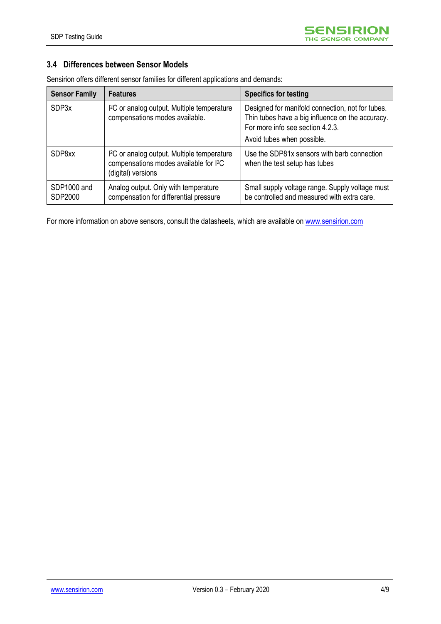### **3.4 Differences between Sensor Models**

| <b>Sensor Family</b>   | <b>Features</b>                                                                                                                     | <b>Specifics for testing</b>                                                                                                                                           |
|------------------------|-------------------------------------------------------------------------------------------------------------------------------------|------------------------------------------------------------------------------------------------------------------------------------------------------------------------|
| SDP3x                  | <sup>12</sup> C or analog output. Multiple temperature<br>compensations modes available.                                            | Designed for manifold connection, not for tubes.<br>Thin tubes have a big influence on the accuracy.<br>For more info see section 4.2.3.<br>Avoid tubes when possible. |
| SDP8xx                 | I <sup>2</sup> C or analog output. Multiple temperature<br>compensations modes available for I <sup>2</sup> C<br>(digital) versions | Use the SDP81x sensors with barb connection<br>when the test setup has tubes                                                                                           |
| SDP1000 and<br>SDP2000 | Analog output. Only with temperature<br>compensation for differential pressure                                                      | Small supply voltage range. Supply voltage must<br>be controlled and measured with extra care.                                                                         |

Sensirion offers different sensor families for different applications and demands:

For more information on above sensors, consult the datasheets, which are available o[n www.sensirion.com](http://www.sensirion.com/)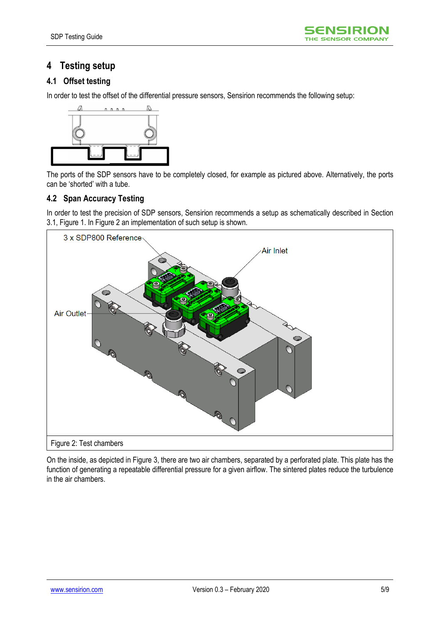## **4 Testing setup**

### <span id="page-4-0"></span>**4.1 Offset testing**

In order to test the offset of the differential pressure sensors, Sensirion recommends the following setup:



The ports of the SDP sensors have to be completely closed, for example as pictured above. Alternatively, the ports can be 'shorted' with a tube.

#### <span id="page-4-1"></span>**4.2 Span Accuracy Testing**

In order to test the precision of SDP sensors, Sensirion recommends a setup as schematically described in Section [3.1,](#page-2-0) [Figure 1.](#page-2-1) I[n Figure 2](#page-4-2) an implementation of such setup is shown.



<span id="page-4-2"></span>On the inside, as depicted in [Figure 3,](#page-5-1) there are two air chambers, separated by a perforated plate. This plate has the function of generating a repeatable differential pressure for a given airflow. The sintered plates reduce the turbulence in the air chambers.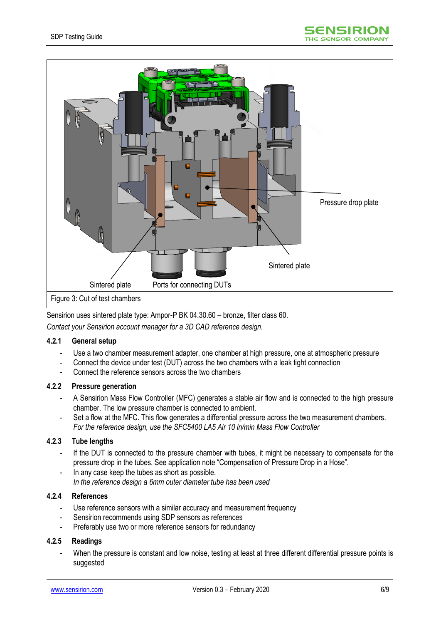

<span id="page-5-1"></span>Sensirion uses sintered plate type: Ampor-P BK 04.30.60 – bronze, filter class 60.

*Contact your Sensirion account manager for a 3D CAD reference design.*

#### **4.2.1 General setup**

- Use a two chamber measurement adapter, one chamber at high pressure, one at atmospheric pressure
- Connect the device under test (DUT) across the two chambers with a leak tight connection
- Connect the reference sensors across the two chambers

#### **4.2.2 Pressure generation**

- A Sensirion Mass Flow Controller (MFC) generates a stable air flow and is connected to the high pressure chamber. The low pressure chamber is connected to ambient.
- Set a flow at the MFC. This flow generates a differential pressure across the two measurement chambers. *For the reference design, use the SFC5400 LA5 Air 10 ln/min Mass Flow Controller*

#### <span id="page-5-0"></span>**4.2.3 Tube lengths**

- If the DUT is connected to the pressure chamber with tubes, it might be necessary to compensate for the pressure drop in the tubes. See application note "Compensation of Pressure Drop in a Hose".
- In any case keep the tubes as short as possible. *In the reference design a 6mm outer diameter tube has been used*

#### **4.2.4 References**

- Use reference sensors with a similar accuracy and measurement frequency
- Sensirion recommends using SDP sensors as references
- Preferably use two or more reference sensors for redundancy

#### **4.2.5 Readings**

When the pressure is constant and low noise, testing at least at three different differential pressure points is suggested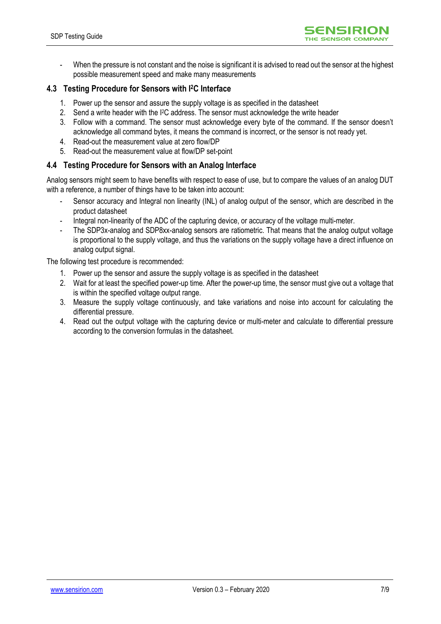

When the pressure is not constant and the noise is significant it is advised to read out the sensor at the highest possible measurement speed and make many measurements

#### **4.3 Testing Procedure for Sensors with I2C Interface**

- 1. Power up the sensor and assure the supply voltage is as specified in the datasheet
- 2. Send a write header with the I<sup>2</sup>C address. The sensor must acknowledge the write header
- 3. Follow with a command. The sensor must acknowledge every byte of the command. If the sensor doesn't acknowledge all command bytes, it means the command is incorrect, or the sensor is not ready yet.
- 4. Read-out the measurement value at zero flow/DP
- 5. Read-out the measurement value at flow/DP set-point

#### **4.4 Testing Procedure for Sensors with an Analog Interface**

Analog sensors might seem to have benefits with respect to ease of use, but to compare the values of an analog DUT with a reference, a number of things have to be taken into account:

- Sensor accuracy and Integral non linearity (INL) of analog output of the sensor, which are described in the product datasheet
- Integral non-linearity of the ADC of the capturing device, or accuracy of the voltage multi-meter.
- The SDP3x-analog and SDP8xx-analog sensors are ratiometric. That means that the analog output voltage is proportional to the supply voltage, and thus the variations on the supply voltage have a direct influence on analog output signal.

The following test procedure is recommended:

- 1. Power up the sensor and assure the supply voltage is as specified in the datasheet
- 2. Wait for at least the specified power-up time. After the power-up time, the sensor must give out a voltage that is within the specified voltage output range.
- 3. Measure the supply voltage continuously, and take variations and noise into account for calculating the differential pressure.
- 4. Read out the output voltage with the capturing device or multi-meter and calculate to differential pressure according to the conversion formulas in the datasheet.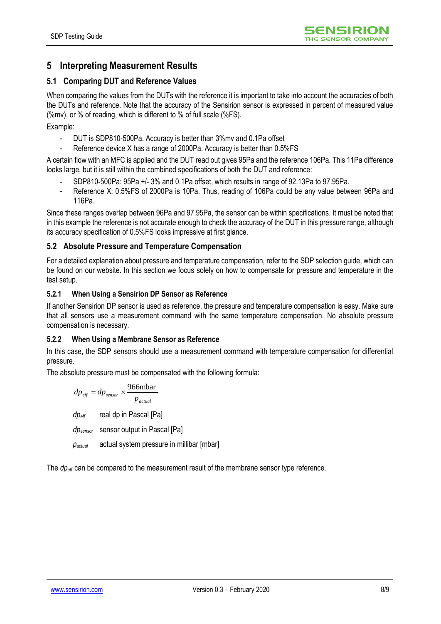## **5 Interpreting Measurement Results**

### **5.1 Comparing DUT and Reference Values**

When comparing the values from the DUTs with the reference it is important to take into account the accuracies of both the DUTs and reference. Note that the accuracy of the Sensirion sensor is expressed in percent of measured value (%mv), or % of reading, which is different to % of full scale (%FS).

Example:

- DUT is SDP810-500Pa. Accuracy is better than 3%mv and 0.1Pa offset
- Reference device X has a range of 2000Pa. Accuracy is better than  $0.5\%$ FS

A certain flow with an MFC is applied and the DUT read out gives 95Pa and the reference 106Pa. This 11Pa difference looks large, but it is still within the combined specifications of both the DUT and reference:

- SDP810-500Pa: 95Pa +/- 3% and 0.1Pa offset, which results in range of 92.13Pa to 97.95Pa.
- Reference X: 0.5%FS of 2000Pa is 10Pa. Thus, reading of 106Pa could be any value between 96Pa and 116Pa.

Since these ranges overlap between 96Pa and 97.95Pa, the sensor can be within specifications. It must be noted that in this example the reference is not accurate enough to check the accuracy of the DUT in this pressure range, although its accuracy specification of 0.5%FS looks impressive at first glance.

#### **5.2 Absolute Pressure and Temperature Compensation**

For a detailed explanation about pressure and temperature compensation, refer to the SDP selection guide, which can be found on our website. In this section we focus solely on how to compensate for pressure and temperature in the test setup.

#### **5.2.1 When Using a Sensirion DP Sensor as Reference**

If another Sensirion DP sensor is used as reference, the pressure and temperature compensation is easy. Make sure that all sensors use a measurement command with the same temperature compensation. No absolute pressure compensation is necessary.

#### <span id="page-7-0"></span>**5.2.2 When Using a Membrane Sensor as Reference**

In this case, the SDP sensors should use a measurement command with temperature compensation for differential pressure.

The absolute pressure must be compensated with the following formula:

$$
dp_{\text{eff}} = dp_{\text{sensor}} \times \frac{966 \text{mbar}}{p_{\text{actual}}}
$$
  
dp\_{\text{eff}} \treal dp in Pascal [Pa]

*dpsensor* sensor output in Pascal [Pa]

*pactual* actual system pressure in millibar [mbar]

The *dpeff* can be compared to the measurement result of the membrane sensor type reference.